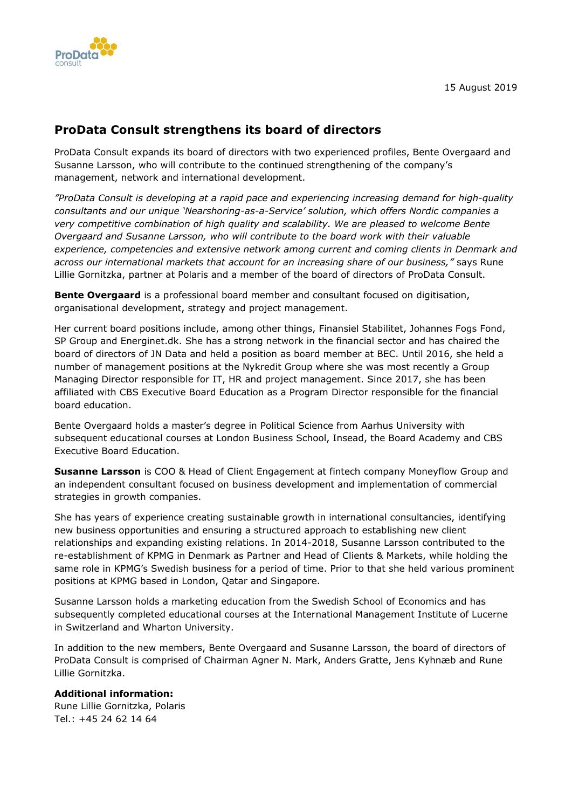

## **ProData Consult strengthens its board of directors**

ProData Consult expands its board of directors with two experienced profiles, Bente Overgaard and Susanne Larsson, who will contribute to the continued strengthening of the company's management, network and international development.

*"ProData Consult is developing at a rapid pace and experiencing increasing demand for high-quality consultants and our unique 'Nearshoring-as-a-Service' solution, which offers Nordic companies a very competitive combination of high quality and scalability. We are pleased to welcome Bente Overgaard and Susanne Larsson, who will contribute to the board work with their valuable experience, competencies and extensive network among current and coming clients in Denmark and across our international markets that account for an increasing share of our business,"* says Rune Lillie Gornitzka, partner at Polaris and a member of the board of directors of ProData Consult.

**Bente Overgaard** is a professional board member and consultant focused on digitisation, organisational development, strategy and project management.

Her current board positions include, among other things, Finansiel Stabilitet, Johannes Fogs Fond, SP Group and Energinet.dk. She has a strong network in the financial sector and has chaired the board of directors of JN Data and held a position as board member at BEC. Until 2016, she held a number of management positions at the Nykredit Group where she was most recently a Group Managing Director responsible for IT, HR and project management. Since 2017, she has been affiliated with CBS Executive Board Education as a Program Director responsible for the financial board education.

Bente Overgaard holds a master's degree in Political Science from Aarhus University with subsequent educational courses at London Business School, Insead, the Board Academy and CBS Executive Board Education.

**Susanne Larsson** is COO & Head of Client Engagement at fintech company Moneyflow Group and an independent consultant focused on business development and implementation of commercial strategies in growth companies.

She has years of experience creating sustainable growth in international consultancies, identifying new business opportunities and ensuring a structured approach to establishing new client relationships and expanding existing relations. In 2014-2018, Susanne Larsson contributed to the re-establishment of KPMG in Denmark as Partner and Head of Clients & Markets, while holding the same role in KPMG's Swedish business for a period of time. Prior to that she held various prominent positions at KPMG based in London, Qatar and Singapore.

Susanne Larsson holds a marketing education from the Swedish School of Economics and has subsequently completed educational courses at the International Management Institute of Lucerne in Switzerland and Wharton University.

In addition to the new members, Bente Overgaard and Susanne Larsson, the board of directors of ProData Consult is comprised of Chairman Agner N. Mark, Anders Gratte, Jens Kyhnæb and Rune Lillie Gornitzka.

## **Additional information:**

Rune Lillie Gornitzka, Polaris Tel.: +45 24 62 14 64